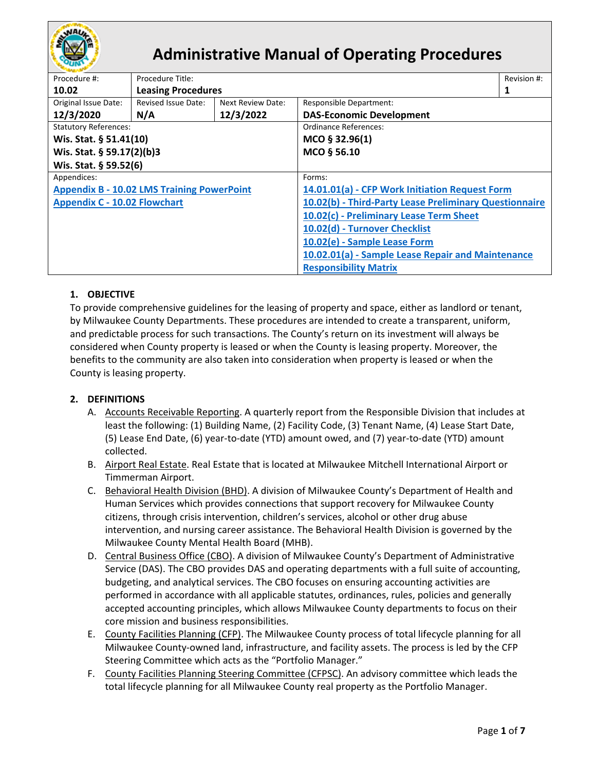

# **Administrative Manual of Operating Procedures**

| Procedure #:                                      | Procedure Title:          |                                                   |                                                        | Revision #: |  |
|---------------------------------------------------|---------------------------|---------------------------------------------------|--------------------------------------------------------|-------------|--|
| 10.02                                             | <b>Leasing Procedures</b> |                                                   |                                                        |             |  |
| Original Issue Date:                              | Revised Issue Date:       | Next Review Date:                                 | Responsible Department:                                |             |  |
| 12/3/2020                                         | N/A                       | 12/3/2022                                         | <b>DAS-Economic Development</b>                        |             |  |
| <b>Statutory References:</b>                      |                           |                                                   | Ordinance References:                                  |             |  |
| Wis. Stat. § 51.41(10)                            |                           |                                                   | MCO § 32.96(1)                                         |             |  |
| Wis. Stat. § 59.17(2)(b)3                         |                           |                                                   | MCO § 56.10                                            |             |  |
| Wis. Stat. § 59.52(6)                             |                           |                                                   |                                                        |             |  |
| Appendices:                                       |                           |                                                   | Forms:                                                 |             |  |
| <b>Appendix B - 10.02 LMS Training PowerPoint</b> |                           |                                                   | 14.01.01(a) - CFP Work Initiation Request Form         |             |  |
| <b>Appendix C - 10.02 Flowchart</b>               |                           |                                                   | 10.02(b) - Third-Party Lease Preliminary Questionnaire |             |  |
|                                                   |                           | 10.02(c) - Preliminary Lease Term Sheet           |                                                        |             |  |
|                                                   |                           |                                                   | 10.02(d) - Turnover Checklist                          |             |  |
|                                                   |                           | 10.02(e) - Sample Lease Form                      |                                                        |             |  |
|                                                   |                           | 10.02.01(a) - Sample Lease Repair and Maintenance |                                                        |             |  |
|                                                   |                           |                                                   | <b>Responsibility Matrix</b>                           |             |  |

## **1. OBJECTIVE**

To provide comprehensive guidelines for the leasing of property and space, either as landlord or tenant, by Milwaukee County Departments. These procedures are intended to create a transparent, uniform, and predictable process for such transactions. The County's return on its investment will always be considered when County property is leased or when the County is leasing property. Moreover, the benefits to the community are also taken into consideration when property is leased or when the County is leasing property.

### **2. DEFINITIONS**

- A. Accounts Receivable Reporting. A quarterly report from the Responsible Division that includes at least the following: (1) Building Name, (2) Facility Code, (3) Tenant Name, (4) Lease Start Date, (5) Lease End Date, (6) year-to-date (YTD) amount owed, and (7) year-to-date (YTD) amount collected.
- B. Airport Real Estate. Real Estate that is located at Milwaukee Mitchell International Airport or Timmerman Airport.
- C. Behavioral Health Division (BHD). A division of Milwaukee County's Department of Health and Human Services which provides connections that support recovery for Milwaukee County citizens, through crisis intervention, children's services, alcohol or other drug abuse intervention, and nursing career assistance. The Behavioral Health Division is governed by the Milwaukee County Mental Health Board (MHB).
- D. Central Business Office (CBO). A division of Milwaukee County's Department of Administrative Service (DAS). The CBO provides DAS and operating departments with a full suite of accounting, budgeting, and analytical services. The CBO focuses on ensuring accounting activities are performed in accordance with all applicable statutes, ordinances, rules, policies and generally accepted accounting principles, which allows Milwaukee County departments to focus on their core mission and business responsibilities.
- E. County Facilities Planning (CFP). The Milwaukee County process of total lifecycle planning for all Milwaukee County-owned land, infrastructure, and facility assets. The process is led by the CFP Steering Committee which acts as the "Portfolio Manager."
- F. County Facilities Planning Steering Committee (CFPSC). An advisory committee which leads the total lifecycle planning for all Milwaukee County real property as the Portfolio Manager.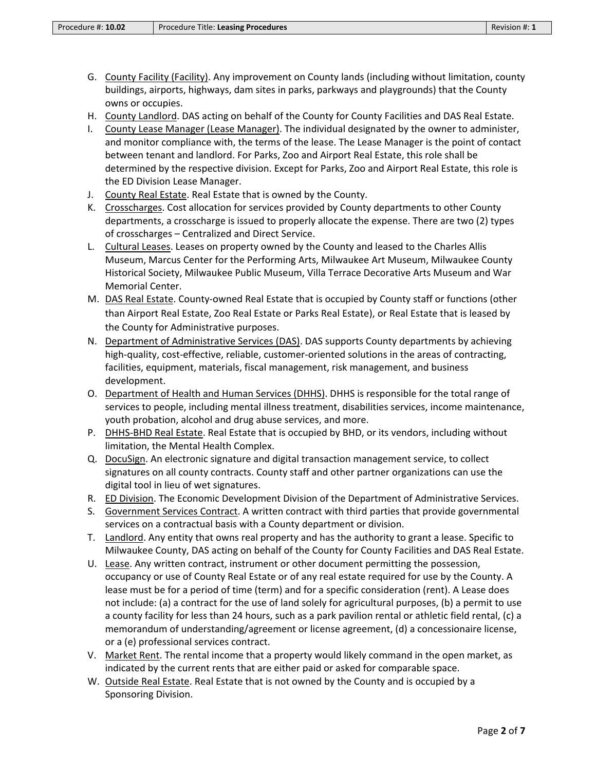- G. County Facility (Facility). Any improvement on County lands (including without limitation, county buildings, airports, highways, dam sites in parks, parkways and playgrounds) that the County owns or occupies.
- H. County Landlord. DAS acting on behalf of the County for County Facilities and DAS Real Estate.
- I. County Lease Manager (Lease Manager). The individual designated by the owner to administer, and monitor compliance with, the terms of the lease. The Lease Manager is the point of contact between tenant and landlord. For Parks, Zoo and Airport Real Estate, this role shall be determined by the respective division. Except for Parks, Zoo and Airport Real Estate, this role is the ED Division Lease Manager.
- J. County Real Estate. Real Estate that is owned by the County.
- K. Crosscharges. Cost allocation for services provided by County departments to other County departments, a crosscharge is issued to properly allocate the expense. There are two (2) types of crosscharges – Centralized and Direct Service.
- L. Cultural Leases. Leases on property owned by the County and leased to the Charles Allis Museum, Marcus Center for the Performing Arts, Milwaukee Art Museum, Milwaukee County Historical Society, Milwaukee Public Museum, Villa Terrace Decorative Arts Museum and War Memorial Center.
- M. DAS Real Estate. County-owned Real Estate that is occupied by County staff or functions (other than Airport Real Estate, Zoo Real Estate or Parks Real Estate), or Real Estate that is leased by the County for Administrative purposes.
- N. Department of Administrative Services (DAS). DAS supports County departments by achieving high-quality, cost-effective, reliable, customer-oriented solutions in the areas of contracting, facilities, equipment, materials, fiscal management, risk management, and business development.
- O. Department of Health and Human Services (DHHS). DHHS is responsible for the total range of services to people, including mental illness treatment, disabilities services, income maintenance, youth probation, alcohol and drug abuse services, and more.
- P. DHHS-BHD Real Estate. Real Estate that is occupied by BHD, or its vendors, including without limitation, the Mental Health Complex.
- Q. DocuSign. An electronic signature and digital transaction management service, to collect signatures on all county contracts. County staff and other partner organizations can use the digital tool in lieu of wet signatures.
- R. ED Division. The Economic Development Division of the Department of Administrative Services.
- S. Government Services Contract. A written contract with third parties that provide governmental services on a contractual basis with a County department or division.
- T. Landlord. Any entity that owns real property and has the authority to grant a lease. Specific to Milwaukee County, DAS acting on behalf of the County for County Facilities and DAS Real Estate.
- U. Lease. Any written contract, instrument or other document permitting the possession, occupancy or use of County Real Estate or of any real estate required for use by the County. A lease must be for a period of time (term) and for a specific consideration (rent). A Lease does not include: (a) a contract for the use of land solely for agricultural purposes, (b) a permit to use a county facility for less than 24 hours, such as a park pavilion rental or athletic field rental, (c) a memorandum of understanding/agreement or license agreement, (d) a concessionaire license, or a (e) professional services contract.
- V. Market Rent. The rental income that a property would likely command in the open market, as indicated by the current rents that are either paid or asked for comparable space.
- W. Outside Real Estate. Real Estate that is not owned by the County and is occupied by a Sponsoring Division.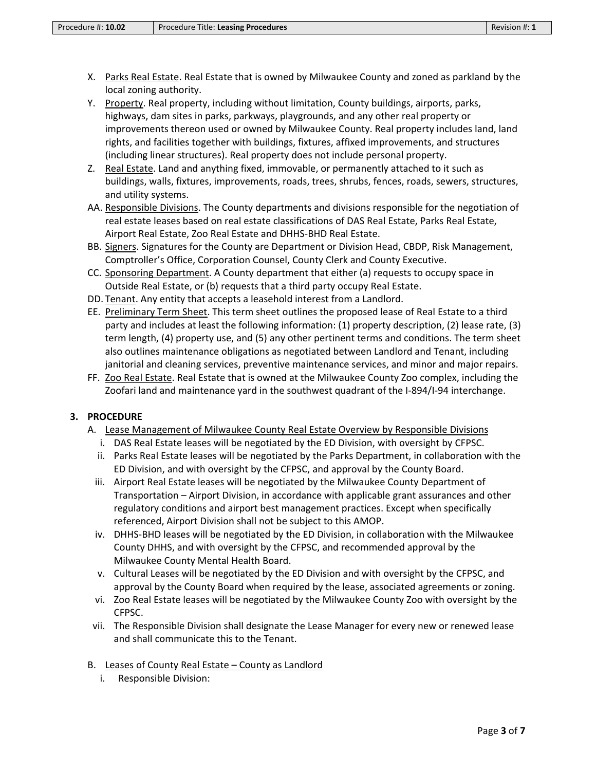- X. Parks Real Estate. Real Estate that is owned by Milwaukee County and zoned as parkland by the local zoning authority.
- Y. Property. Real property, including without limitation, County buildings, airports, parks, highways, dam sites in parks, parkways, playgrounds, and any other real property or improvements thereon used or owned by Milwaukee County. Real property includes land, land rights, and facilities together with buildings, fixtures, affixed improvements, and structures (including linear structures). Real property does not include personal property.
- Z. Real Estate. Land and anything fixed, immovable, or permanently attached to it such as buildings, walls, fixtures, improvements, roads, trees, shrubs, fences, roads, sewers, structures, and utility systems.
- AA. Responsible Divisions. The County departments and divisions responsible for the negotiation of real estate leases based on real estate classifications of DAS Real Estate, Parks Real Estate, Airport Real Estate, Zoo Real Estate and DHHS-BHD Real Estate.
- BB. Signers. Signatures for the County are Department or Division Head, CBDP, Risk Management, Comptroller's Office, Corporation Counsel, County Clerk and County Executive.
- CC. Sponsoring Department. A County department that either (a) requests to occupy space in Outside Real Estate, or (b) requests that a third party occupy Real Estate.
- DD. Tenant. Any entity that accepts a leasehold interest from a Landlord.
- EE. Preliminary Term Sheet. This term sheet outlines the proposed lease of Real Estate to a third party and includes at least the following information: (1) property description, (2) lease rate, (3) term length, (4) property use, and (5) any other pertinent terms and conditions. The term sheet also outlines maintenance obligations as negotiated between Landlord and Tenant, including janitorial and cleaning services, preventive maintenance services, and minor and major repairs.
- FF. Zoo Real Estate. Real Estate that is owned at the Milwaukee County Zoo complex, including the Zoofari land and maintenance yard in the southwest quadrant of the I-894/I-94 interchange.

### **3. PROCEDURE**

- A. Lease Management of Milwaukee County Real Estate Overview by Responsible Divisions
	- i. DAS Real Estate leases will be negotiated by the ED Division, with oversight by CFPSC.
	- ii. Parks Real Estate leases will be negotiated by the Parks Department, in collaboration with the ED Division, and with oversight by the CFPSC, and approval by the County Board.
	- iii. Airport Real Estate leases will be negotiated by the Milwaukee County Department of Transportation – Airport Division, in accordance with applicable grant assurances and other regulatory conditions and airport best management practices. Except when specifically referenced, Airport Division shall not be subject to this AMOP.
	- iv. DHHS-BHD leases will be negotiated by the ED Division, in collaboration with the Milwaukee County DHHS, and with oversight by the CFPSC, and recommended approval by the Milwaukee County Mental Health Board.
	- v. Cultural Leases will be negotiated by the ED Division and with oversight by the CFPSC, and approval by the County Board when required by the lease, associated agreements or zoning.
	- vi. Zoo Real Estate leases will be negotiated by the Milwaukee County Zoo with oversight by the CFPSC.
- vii. The Responsible Division shall designate the Lease Manager for every new or renewed lease and shall communicate this to the Tenant.
- B. Leases of County Real Estate County as Landlord
	- i. Responsible Division: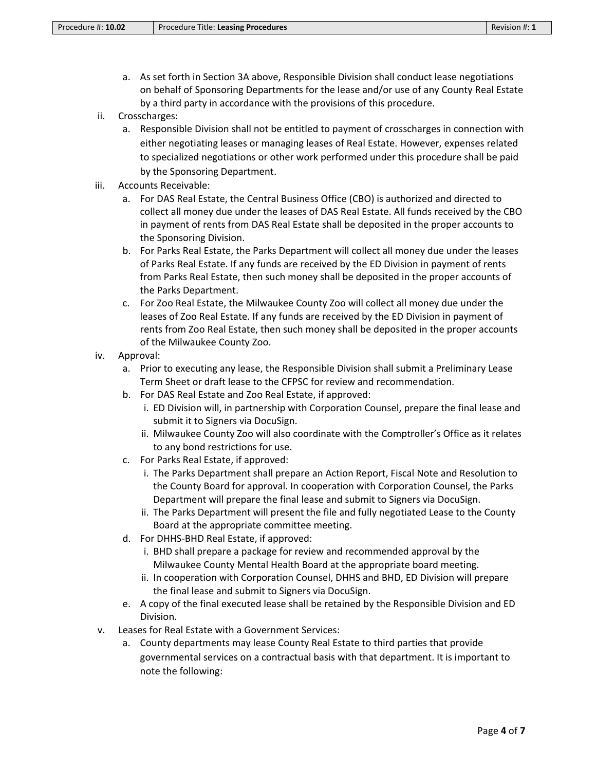- a. As set forth in Section 3A above, Responsible Division shall conduct lease negotiations on behalf of Sponsoring Departments for the lease and/or use of any County Real Estate by a third party in accordance with the provisions of this procedure.
- ii. Crosscharges:
	- a. Responsible Division shall not be entitled to payment of crosscharges in connection with either negotiating leases or managing leases of Real Estate. However, expenses related to specialized negotiations or other work performed under this procedure shall be paid by the Sponsoring Department.
- iii. Accounts Receivable:
	- a. For DAS Real Estate, the Central Business Office (CBO) is authorized and directed to collect all money due under the leases of DAS Real Estate. All funds received by the CBO in payment of rents from DAS Real Estate shall be deposited in the proper accounts to the Sponsoring Division.
	- b. For Parks Real Estate, the Parks Department will collect all money due under the leases of Parks Real Estate. If any funds are received by the ED Division in payment of rents from Parks Real Estate, then such money shall be deposited in the proper accounts of the Parks Department.
	- c. For Zoo Real Estate, the Milwaukee County Zoo will collect all money due under the leases of Zoo Real Estate. If any funds are received by the ED Division in payment of rents from Zoo Real Estate, then such money shall be deposited in the proper accounts of the Milwaukee County Zoo.
- iv. Approval:
	- a. Prior to executing any lease, the Responsible Division shall submit a Preliminary Lease Term Sheet or draft lease to the CFPSC for review and recommendation.
	- b. For DAS Real Estate and Zoo Real Estate, if approved:
		- i. ED Division will, in partnership with Corporation Counsel, prepare the final lease and submit it to Signers via DocuSign.
		- ii. Milwaukee County Zoo will also coordinate with the Comptroller's Office as it relates to any bond restrictions for use.
	- c. For Parks Real Estate, if approved:
		- i. The Parks Department shall prepare an Action Report, Fiscal Note and Resolution to the County Board for approval. In cooperation with Corporation Counsel, the Parks Department will prepare the final lease and submit to Signers via DocuSign.
		- ii. The Parks Department will present the file and fully negotiated Lease to the County Board at the appropriate committee meeting.
	- d. For DHHS-BHD Real Estate, if approved:
		- i. BHD shall prepare a package for review and recommended approval by the Milwaukee County Mental Health Board at the appropriate board meeting.
		- ii. In cooperation with Corporation Counsel, DHHS and BHD, ED Division will prepare the final lease and submit to Signers via DocuSign.
	- e. A copy of the final executed lease shall be retained by the Responsible Division and ED Division.
- v. Leases for Real Estate with a Government Services:
	- a. County departments may lease County Real Estate to third parties that provide governmental services on a contractual basis with that department. It is important to note the following: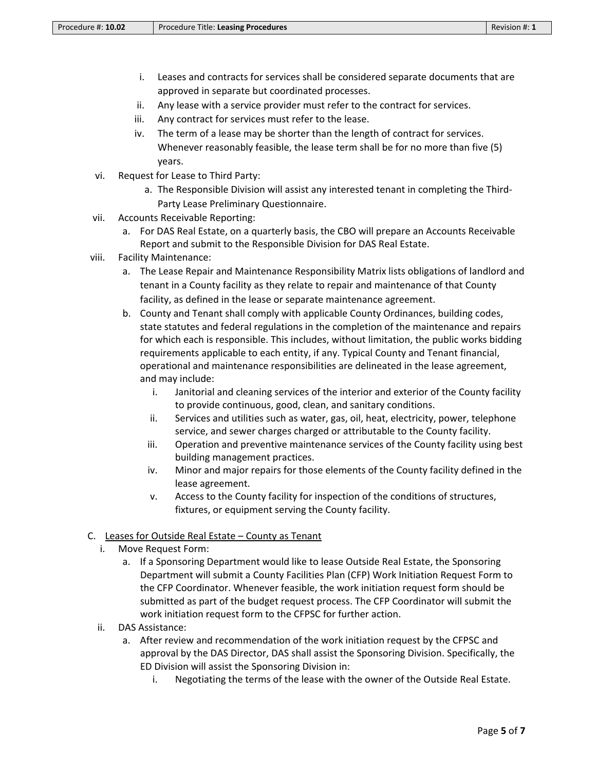- i. Leases and contracts for services shall be considered separate documents that are approved in separate but coordinated processes.
- ii. Any lease with a service provider must refer to the contract for services.
- iii. Any contract for services must refer to the lease.
- iv. The term of a lease may be shorter than the length of contract for services. Whenever reasonably feasible, the lease term shall be for no more than five (5) years.
- vi. Request for Lease to Third Party:
	- a. The Responsible Division will assist any interested tenant in completing the Third-Party Lease Preliminary Questionnaire.
- vii. Accounts Receivable Reporting:
	- a. For DAS Real Estate, on a quarterly basis, the CBO will prepare an Accounts Receivable Report and submit to the Responsible Division for DAS Real Estate.
- viii. Facility Maintenance:
	- a. The Lease Repair and Maintenance Responsibility Matrix lists obligations of landlord and tenant in a County facility as they relate to repair and maintenance of that County facility, as defined in the lease or separate maintenance agreement.
	- b. County and Tenant shall comply with applicable County Ordinances, building codes, state statutes and federal regulations in the completion of the maintenance and repairs for which each is responsible. This includes, without limitation, the public works bidding requirements applicable to each entity, if any. Typical County and Tenant financial, operational and maintenance responsibilities are delineated in the lease agreement, and may include:
		- i. Janitorial and cleaning services of the interior and exterior of the County facility to provide continuous, good, clean, and sanitary conditions.
		- ii. Services and utilities such as water, gas, oil, heat, electricity, power, telephone service, and sewer charges charged or attributable to the County facility.
		- iii. Operation and preventive maintenance services of the County facility using best building management practices.
		- iv. Minor and major repairs for those elements of the County facility defined in the lease agreement.
		- v. Access to the County facility for inspection of the conditions of structures, fixtures, or equipment serving the County facility.

#### C. Leases for Outside Real Estate – County as Tenant

- i. Move Request Form:
	- a. If a Sponsoring Department would like to lease Outside Real Estate, the Sponsoring Department will submit a County Facilities Plan (CFP) Work Initiation Request Form to the CFP Coordinator. Whenever feasible, the work initiation request form should be submitted as part of the budget request process. The CFP Coordinator will submit the work initiation request form to the CFPSC for further action.
- ii. DAS Assistance:
	- a. After review and recommendation of the work initiation request by the CFPSC and approval by the DAS Director, DAS shall assist the Sponsoring Division. Specifically, the ED Division will assist the Sponsoring Division in:
		- i. Negotiating the terms of the lease with the owner of the Outside Real Estate.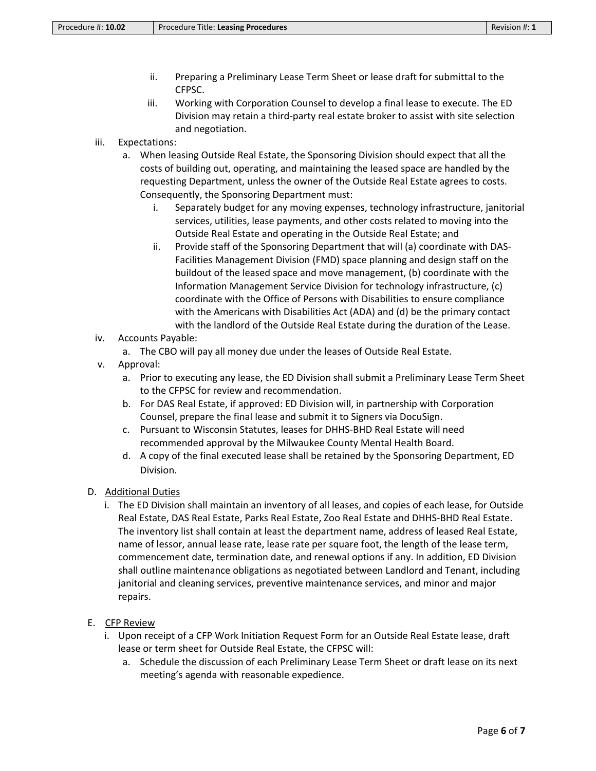- ii. Preparing a Preliminary Lease Term Sheet or lease draft for submittal to the CFPSC.
- iii. Working with Corporation Counsel to develop a final lease to execute. The ED Division may retain a third-party real estate broker to assist with site selection and negotiation.
- iii. Expectations:
	- a. When leasing Outside Real Estate, the Sponsoring Division should expect that all the costs of building out, operating, and maintaining the leased space are handled by the requesting Department, unless the owner of the Outside Real Estate agrees to costs. Consequently, the Sponsoring Department must:
		- i. Separately budget for any moving expenses, technology infrastructure, janitorial services, utilities, lease payments, and other costs related to moving into the Outside Real Estate and operating in the Outside Real Estate; and
		- ii. Provide staff of the Sponsoring Department that will (a) coordinate with DAS-Facilities Management Division (FMD) space planning and design staff on the buildout of the leased space and move management, (b) coordinate with the Information Management Service Division for technology infrastructure, (c) coordinate with the Office of Persons with Disabilities to ensure compliance with the Americans with Disabilities Act (ADA) and (d) be the primary contact with the landlord of the Outside Real Estate during the duration of the Lease.
- iv. Accounts Payable:

a. The CBO will pay all money due under the leases of Outside Real Estate.

- v. Approval:
	- a. Prior to executing any lease, the ED Division shall submit a Preliminary Lease Term Sheet to the CFPSC for review and recommendation.
	- b. For DAS Real Estate, if approved: ED Division will, in partnership with Corporation Counsel, prepare the final lease and submit it to Signers via DocuSign.
	- c. Pursuant to Wisconsin Statutes, leases for DHHS-BHD Real Estate will need recommended approval by the Milwaukee County Mental Health Board.
	- d. A copy of the final executed lease shall be retained by the Sponsoring Department, ED Division.
- D. Additional Duties
	- i. The ED Division shall maintain an inventory of all leases, and copies of each lease, for Outside Real Estate, DAS Real Estate, Parks Real Estate, Zoo Real Estate and DHHS-BHD Real Estate. The inventory list shall contain at least the department name, address of leased Real Estate, name of lessor, annual lease rate, lease rate per square foot, the length of the lease term, commencement date, termination date, and renewal options if any. In addition, ED Division shall outline maintenance obligations as negotiated between Landlord and Tenant, including janitorial and cleaning services, preventive maintenance services, and minor and major repairs.
- E. CFP Review
	- i. Upon receipt of a CFP Work Initiation Request Form for an Outside Real Estate lease, draft lease or term sheet for Outside Real Estate, the CFPSC will:
		- a. Schedule the discussion of each Preliminary Lease Term Sheet or draft lease on its next meeting's agenda with reasonable expedience.